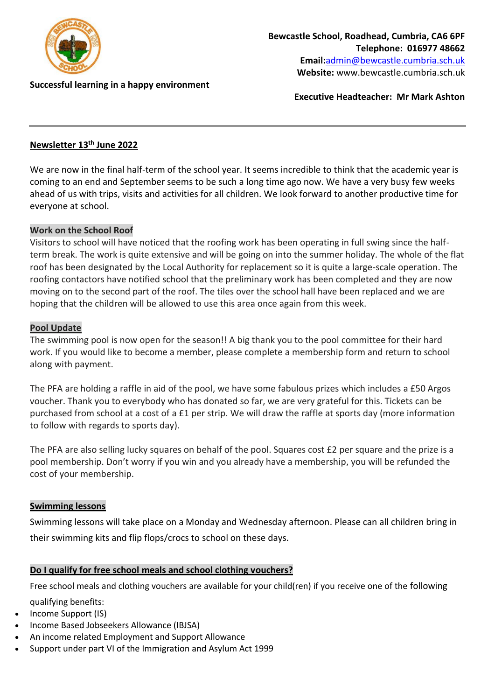

**Successful learning in a happy environment** 

**Executive Headteacher: Mr Mark Ashton**

## **Newsletter 13th June 2022**

We are now in the final half-term of the school year. It seems incredible to think that the academic year is coming to an end and September seems to be such a long time ago now. We have a very busy few weeks ahead of us with trips, visits and activities for all children. We look forward to another productive time for everyone at school.

#### **Work on the School Roof**

Visitors to school will have noticed that the roofing work has been operating in full swing since the halfterm break. The work is quite extensive and will be going on into the summer holiday. The whole of the flat roof has been designated by the Local Authority for replacement so it is quite a large-scale operation. The roofing contactors have notified school that the preliminary work has been completed and they are now moving on to the second part of the roof. The tiles over the school hall have been replaced and we are hoping that the children will be allowed to use this area once again from this week.

### **Pool Update**

The swimming pool is now open for the season!! A big thank you to the pool committee for their hard work. If you would like to become a member, please complete a membership form and return to school along with payment.

The PFA are holding a raffle in aid of the pool, we have some fabulous prizes which includes a £50 Argos voucher. Thank you to everybody who has donated so far, we are very grateful for this. Tickets can be purchased from school at a cost of a £1 per strip. We will draw the raffle at sports day (more information to follow with regards to sports day).

The PFA are also selling lucky squares on behalf of the pool. Squares cost £2 per square and the prize is a pool membership. Don't worry if you win and you already have a membership, you will be refunded the cost of your membership.

#### **Swimming lessons**

Swimming lessons will take place on a Monday and Wednesday afternoon. Please can all children bring in their swimming kits and flip flops/crocs to school on these days.

#### **[Do I qualify for free school meals and school clothing vouchers?](https://cumbria.gov.uk/childrensservices/schoolsandlearning/freeschoolmeals.asp)**

Free school meals and clothing vouchers are available for your child(ren) if you receive one of the following

qualifying benefits:

- Income Support (IS)
- Income Based Jobseekers Allowance (IBJSA)
- An income related Employment and Support Allowance
- Support under part VI of the Immigration and Asylum Act 1999